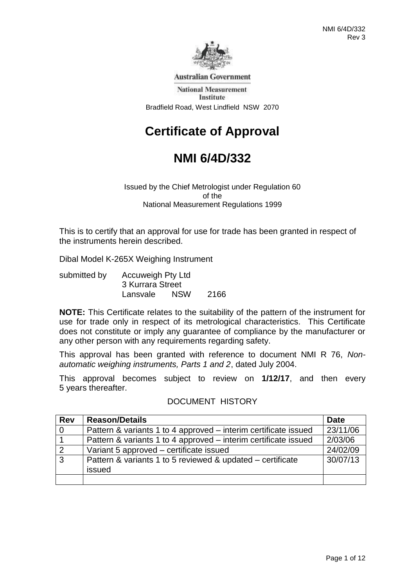

**Australian Government** 

**National Measurement** Institute Bradfield Road, West Lindfield NSW 2070

# **Certificate of Approval**

# **NMI 6/4D/332**

Issued by the Chief Metrologist under Regulation 60 of the National Measurement Regulations 1999

This is to certify that an approval for use for trade has been granted in respect of the instruments herein described.

Dibal Model K-265X Weighing Instrument

submitted by Accuweigh Pty Ltd 3 Kurrara Street Lansvale NSW 2166

**NOTE:** This Certificate relates to the suitability of the pattern of the instrument for use for trade only in respect of its metrological characteristics. This Certificate does not constitute or imply any guarantee of compliance by the manufacturer or any other person with any requirements regarding safety.

This approval has been granted with reference to document NMI R 76, *Nonautomatic weighing instruments, Parts 1 and 2*, dated July 2004.

This approval becomes subject to review on **1/12/17**, and then every 5 years thereafter.

| <b>Rev</b>     | <b>Reason/Details</b>                                                | <b>Date</b> |
|----------------|----------------------------------------------------------------------|-------------|
| $\overline{0}$ | Pattern & variants 1 to 4 approved – interim certificate issued      | 23/11/06    |
|                | Pattern & variants 1 to 4 approved – interim certificate issued      | 2/03/06     |
| 2              | Variant 5 approved – certificate issued                              | 24/02/09    |
| $\overline{3}$ | Pattern & variants 1 to 5 reviewed & updated – certificate<br>issued | 30/07/13    |
|                |                                                                      |             |

### DOCUMENT HISTORY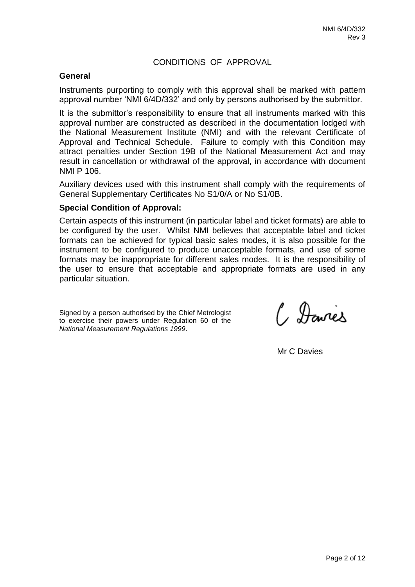# CONDITIONS OF APPROVAL

#### **General**

Instruments purporting to comply with this approval shall be marked with pattern approval number 'NMI 6/4D/332' and only by persons authorised by the submittor.

It is the submittor's responsibility to ensure that all instruments marked with this approval number are constructed as described in the documentation lodged with the National Measurement Institute (NMI) and with the relevant Certificate of Approval and Technical Schedule. Failure to comply with this Condition may attract penalties under Section 19B of the National Measurement Act and may result in cancellation or withdrawal of the approval, in accordance with document NMI P 106.

Auxiliary devices used with this instrument shall comply with the requirements of General Supplementary Certificates No S1/0/A or No S1/0B.

#### **Special Condition of Approval:**

Certain aspects of this instrument (in particular label and ticket formats) are able to be configured by the user. Whilst NMI believes that acceptable label and ticket formats can be achieved for typical basic sales modes, it is also possible for the instrument to be configured to produce unacceptable formats, and use of some formats may be inappropriate for different sales modes. It is the responsibility of the user to ensure that acceptable and appropriate formats are used in any particular situation.

Signed by a person authorised by the Chief Metrologist to exercise their powers under Regulation 60 of the *National Measurement Regulations 1999*.

C Davies

Mr C Davies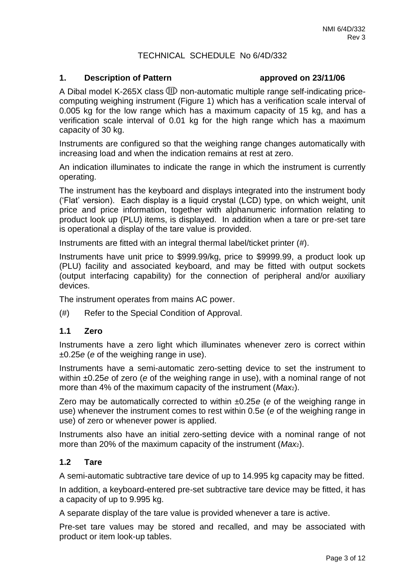# TECHNICAL SCHEDULE No 6/4D/332

#### **1. Description of Pattern approved on 23/11/06**

A Dibal model K-265X class  $CD$  non-automatic multiple range self-indicating pricecomputing weighing instrument (Figure 1) which has a verification scale interval of 0.005 kg for the low range which has a maximum capacity of 15 kg, and has a verification scale interval of 0.01 kg for the high range which has a maximum capacity of 30 kg.

Instruments are configured so that the weighing range changes automatically with increasing load and when the indication remains at rest at zero.

An indication illuminates to indicate the range in which the instrument is currently operating.

The instrument has the keyboard and displays integrated into the instrument body ('Flat' version). Each display is a liquid crystal (LCD) type, on which weight, unit price and price information, together with alphanumeric information relating to product look up (PLU) items, is displayed. In addition when a tare or pre-set tare is operational a display of the tare value is provided.

Instruments are fitted with an integral thermal label/ticket printer (#).

Instruments have unit price to \$999.99/kg, price to \$9999.99, a product look up (PLU) facility and associated keyboard, and may be fitted with output sockets (output interfacing capability) for the connection of peripheral and/or auxiliary devices.

The instrument operates from mains AC power.

(#) Refer to the Special Condition of Approval.

### **1.1 Zero**

Instruments have a zero light which illuminates whenever zero is correct within ±0.25*e* (*e* of the weighing range in use).

Instruments have a semi-automatic zero-setting device to set the instrument to within ±0.25*e* of zero (*e* of the weighing range in use), with a nominal range of not more than 4% of the maximum capacity of the instrument (*Max*2).

Zero may be automatically corrected to within ±0.25*e* (*e* of the weighing range in use) whenever the instrument comes to rest within 0.5*e* (*e* of the weighing range in use) of zero or whenever power is applied.

Instruments also have an initial zero-setting device with a nominal range of not more than 20% of the maximum capacity of the instrument (*Max*2).

### **1.2 Tare**

A semi-automatic subtractive tare device of up to 14.995 kg capacity may be fitted.

In addition, a keyboard-entered pre-set subtractive tare device may be fitted, it has a capacity of up to 9.995 kg.

A separate display of the tare value is provided whenever a tare is active.

Pre-set tare values may be stored and recalled, and may be associated with product or item look-up tables.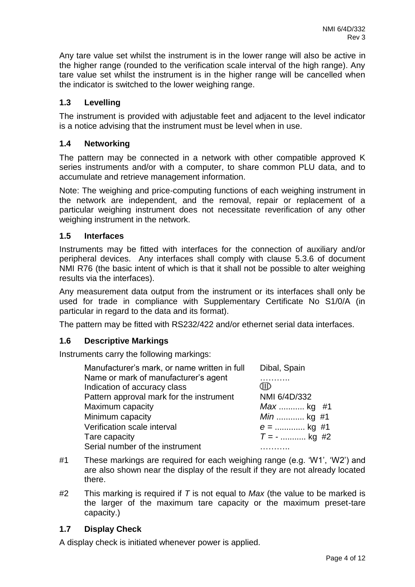Any tare value set whilst the instrument is in the lower range will also be active in the higher range (rounded to the verification scale interval of the high range). Any tare value set whilst the instrument is in the higher range will be cancelled when the indicator is switched to the lower weighing range.

# **1.3 Levelling**

The instrument is provided with adjustable feet and adjacent to the level indicator is a notice advising that the instrument must be level when in use.

# **1.4 Networking**

The pattern may be connected in a network with other compatible approved K series instruments and/or with a computer, to share common PLU data, and to accumulate and retrieve management information.

Note: The weighing and price-computing functions of each weighing instrument in the network are independent, and the removal, repair or replacement of a particular weighing instrument does not necessitate reverification of any other weighing instrument in the network.

# **1.5 Interfaces**

Instruments may be fitted with interfaces for the connection of auxiliary and/or peripheral devices. Any interfaces shall comply with clause 5.3.6 of document NMI R76 (the basic intent of which is that it shall not be possible to alter weighing results via the interfaces).

Any measurement data output from the instrument or its interfaces shall only be used for trade in compliance with Supplementary Certificate No S1/0/A (in particular in regard to the data and its format).

The pattern may be fitted with RS232/422 and/or ethernet serial data interfaces.

### **1.6 Descriptive Markings**

Instruments carry the following markings:

| Manufacturer's mark, or name written in full | Dibal, Spain     |
|----------------------------------------------|------------------|
| Name or mark of manufacturer's agent         |                  |
| Indication of accuracy class                 | Œ                |
| Pattern approval mark for the instrument     | NMI 6/4D/332     |
| Maximum capacity                             | $Max$ kg #1      |
| Minimum capacity                             | <i>Min</i> kg #1 |
| Verification scale interval                  | $e =$ kg #1      |
| Tare capacity                                | $T = -$ kg #2    |
| Serial number of the instrument              |                  |

- #1 These markings are required for each weighing range (e.g. 'W1', 'W2') and are also shown near the display of the result if they are not already located there.
- #2 This marking is required if *T* is not equal to *Max* (the value to be marked is the larger of the maximum tare capacity or the maximum preset-tare capacity.)

### **1.7 Display Check**

A display check is initiated whenever power is applied.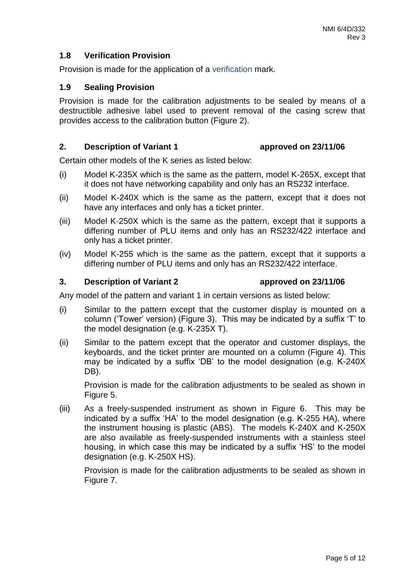# **1.8 Verification Provision**

Provision is made for the application of a verification mark.

#### **1.9 Sealing Provision**

Provision is made for the calibration adjustments to be sealed by means of a destructible adhesive label used to prevent removal of the casing screw that provides access to the calibration button (Figure 2).

#### **2. Description of Variant 1 approved on 23/11/06**

Certain other models of the K series as listed below:

- (i) Model K-235X which is the same as the pattern, model K-265X, except that it does not have networking capability and only has an RS232 interface.
- (ii) Model K-240X which is the same as the pattern, except that it does not have any interfaces and only has a ticket printer.
- (iii) Model K-250X which is the same as the pattern, except that it supports a differing number of PLU items and only has an RS232/422 interface and only has a ticket printer.
- (iv) Model K-255 which is the same as the pattern, except that it supports a differing number of PLU items and only has an RS232/422 interface.

#### **3. Description of Variant 2 approved on 23/11/06**

Any model of the pattern and variant 1 in certain versions as listed below:

- (i) Similar to the pattern except that the customer display is mounted on a column ('Tower' version) (Figure 3). This may be indicated by a suffix 'T' to the model designation (e.g. K-235X T).
- (ii) Similar to the pattern except that the operator and customer displays, the keyboards, and the ticket printer are mounted on a column (Figure 4). This may be indicated by a suffix 'DB' to the model designation (e.g. K-240X DB).

Provision is made for the calibration adjustments to be sealed as shown in Figure 5.

(iii) As a freely-suspended instrument as shown in Figure 6. This may be indicated by a suffix 'HA' to the model designation (e.g. K-255 HA), where the instrument housing is plastic (ABS). The models K-240X and K-250X are also available as freely-suspended instruments with a stainless steel housing, in which case this may be indicated by a suffix 'HS' to the model designation (e.g. K-250X HS).

Provision is made for the calibration adjustments to be sealed as shown in Figure 7.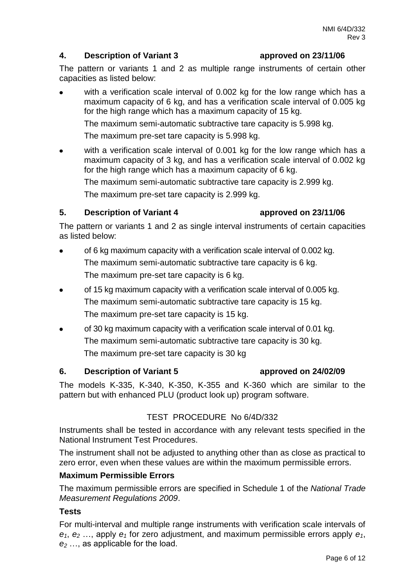# **4. Description of Variant 3 approved on 23/11/06**

The pattern or variants 1 and 2 as multiple range instruments of certain other capacities as listed below:

with a verification scale interval of 0.002 kg for the low range which has a maximum capacity of 6 kg, and has a verification scale interval of 0.005 kg for the high range which has a maximum capacity of 15 kg.

The maximum semi-automatic subtractive tare capacity is 5.998 kg.

The maximum pre-set tare capacity is 5.998 kg.

with a verification scale interval of 0.001 kg for the low range which has a maximum capacity of 3 kg, and has a verification scale interval of 0.002 kg for the high range which has a maximum capacity of 6 kg.

The maximum semi-automatic subtractive tare capacity is 2.999 kg.

The maximum pre-set tare capacity is 2.999 kg.

# **5. Description of Variant 4 approved on 23/11/06**

The pattern or variants 1 and 2 as single interval instruments of certain capacities as listed below:

- of 6 kg maximum capacity with a verification scale interval of 0.002 kg. The maximum semi-automatic subtractive tare capacity is 6 kg. The maximum pre-set tare capacity is 6 kg.
- of 15 kg maximum capacity with a verification scale interval of 0.005 kg. The maximum semi-automatic subtractive tare capacity is 15 kg. The maximum pre-set tare capacity is 15 kg.
- of 30 kg maximum capacity with a verification scale interval of 0.01 kg. The maximum semi-automatic subtractive tare capacity is 30 kg. The maximum pre-set tare capacity is 30 kg

### **6. Description of Variant 5 approved on 24/02/09**

# The models K-335, K-340, K-350, K-355 and K-360 which are similar to the pattern but with enhanced PLU (product look up) program software.

# TEST PROCEDURE No 6/4D/332

Instruments shall be tested in accordance with any relevant tests specified in the National Instrument Test Procedures.

The instrument shall not be adjusted to anything other than as close as practical to zero error, even when these values are within the maximum permissible errors.

### **Maximum Permissible Errors**

The maximum permissible errors are specified in Schedule 1 of the *National Trade Measurement Regulations 2009*.

# **Tests**

For multi-interval and multiple range instruments with verification scale intervals of *e1*, *e<sup>2</sup>* …, apply *e<sup>1</sup>* for zero adjustment, and maximum permissible errors apply *e1*, *e<sup>2</sup>* …, as applicable for the load.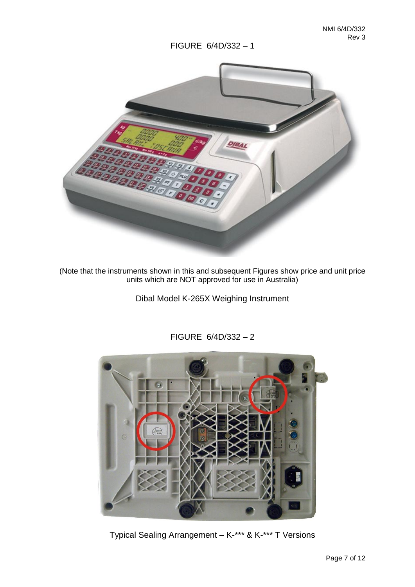

(Note that the instruments shown in this and subsequent Figures show price and unit price units which are NOT approved for use in Australia)

Dibal Model K-265X Weighing Instrument



FIGURE 6/4D/332 – 2

Typical Sealing Arrangement – K-\*\*\* & K-\*\*\* T Versions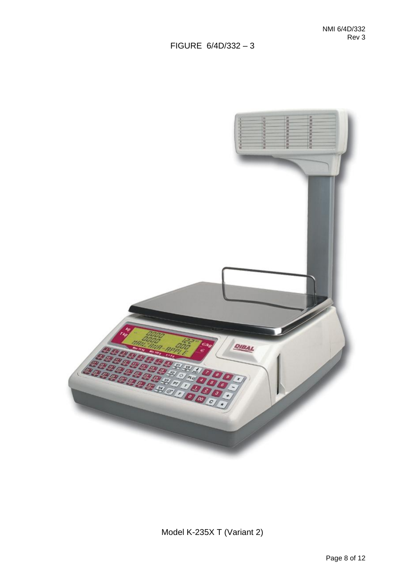

Model K-235X T (Variant 2)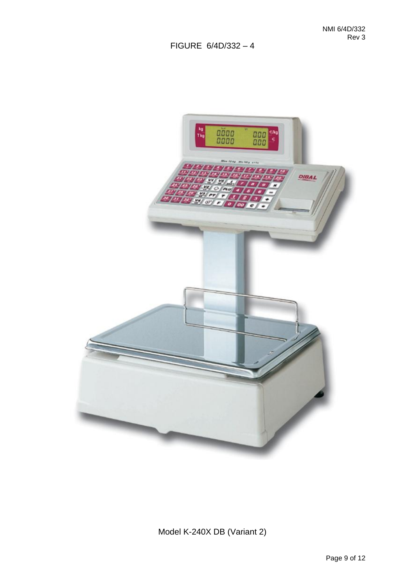

Model K-240X DB (Variant 2)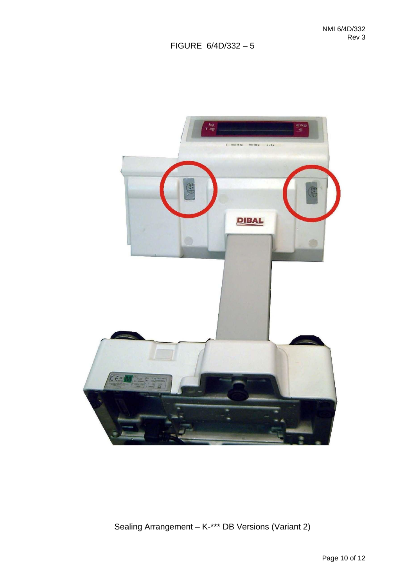

Sealing Arrangement – K-\*\*\* DB Versions (Variant 2)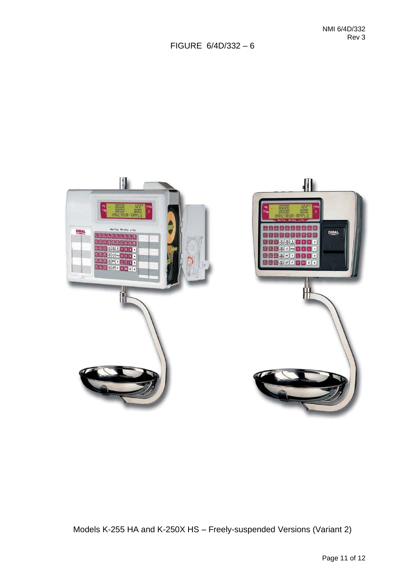

Models K-255 HA and K-250X HS – Freely-suspended Versions (Variant 2)